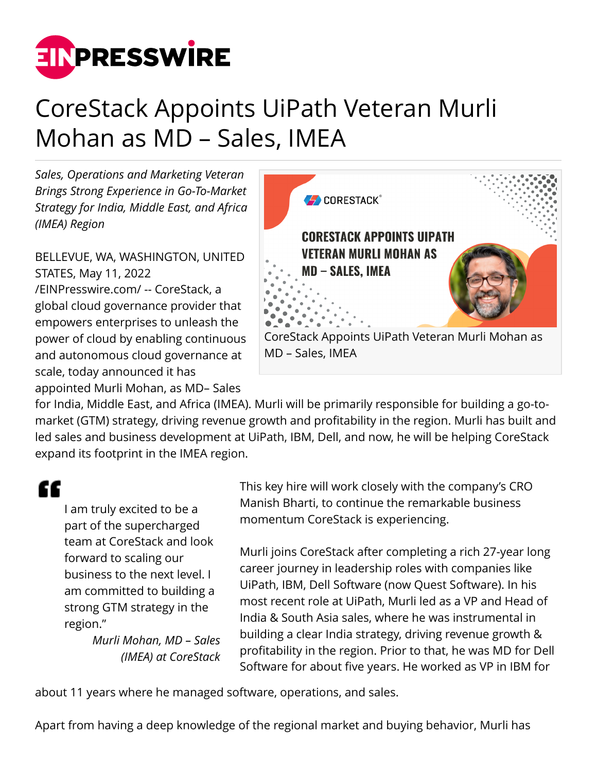

## CoreStack Appoints UiPath Veteran Murli Mohan as MD – Sales, IMEA

*Sales, Operations and Marketing Veteran Brings Strong Experience in Go-To-Market Strategy for India, Middle East, and Africa (IMEA) Region*

BELLEVUE, WA, WASHINGTON, UNITED STATES, May 11, 2022 [/EINPresswire.com/](http://www.einpresswire.com) -- CoreStack, a global cloud governance provider that empowers enterprises to unleash the power of cloud by enabling continuous and autonomous cloud governance at scale, today announced it has appointed Murli Mohan, as MD– Sales



for India, Middle East, and Africa (IMEA). Murli will be primarily responsible for building a go-tomarket (GTM) strategy, driving revenue growth and profitability in the region. Murli has built and led sales and business development at UiPath, IBM, Dell, and now, he will be helping CoreStack expand its footprint in the IMEA region.

## "

I am truly excited to be a part of the supercharged team at CoreStack and look forward to scaling our business to the next level. I am committed to building a strong GTM strategy in the region."

*Murli Mohan, MD – Sales (IMEA) at CoreStack* This key hire will work closely with the company's CRO Manish Bharti, to continue the remarkable business momentum CoreStack is experiencing.

Murli joins CoreStack after completing a rich 27-year long career journey in leadership roles with companies like UiPath, IBM, Dell Software (now Quest Software). In his most recent role at UiPath, Murli led as a VP and Head of India & South Asia sales, where he was instrumental in building a clear India strategy, driving revenue growth & profitability in the region. Prior to that, he was MD for Dell Software for about five years. He worked as VP in IBM for

about 11 years where he managed software, operations, and sales.

Apart from having a deep knowledge of the regional market and buying behavior, Murli has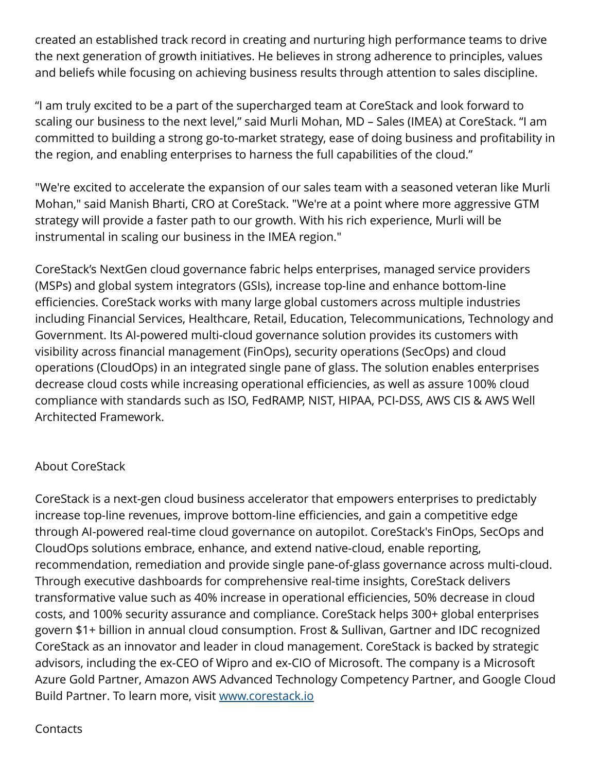created an established track record in creating and nurturing high performance teams to drive the next generation of growth initiatives. He believes in strong adherence to principles, values and beliefs while focusing on achieving business results through attention to sales discipline.

"I am truly excited to be a part of the supercharged team at CoreStack and look forward to scaling our business to the next level," said Murli Mohan, MD – Sales (IMEA) at CoreStack. "I am committed to building a strong go-to-market strategy, ease of doing business and profitability in the region, and enabling enterprises to harness the full capabilities of the cloud."

"We're excited to accelerate the expansion of our sales team with a seasoned veteran like Murli Mohan," said Manish Bharti, CRO at CoreStack. "We're at a point where more aggressive GTM strategy will provide a faster path to our growth. With his rich experience, Murli will be instrumental in scaling our business in the IMEA region."

CoreStack's NextGen cloud governance fabric helps enterprises, managed service providers (MSPs) and global system integrators (GSIs), increase top-line and enhance bottom-line efficiencies. CoreStack works with many large global customers across multiple industries including Financial Services, Healthcare, Retail, Education, Telecommunications, Technology and Government. Its AI-powered multi-cloud governance solution provides its customers with visibility across financial management (FinOps), security operations (SecOps) and cloud operations (CloudOps) in an integrated single pane of glass. The solution enables enterprises decrease cloud costs while increasing operational efficiencies, as well as assure 100% cloud compliance with standards such as ISO, FedRAMP, NIST, HIPAA, PCI-DSS, AWS CIS & AWS Well Architected Framework.

## About CoreStack

CoreStack is a next-gen cloud business accelerator that empowers enterprises to predictably increase top-line revenues, improve bottom-line efficiencies, and gain a competitive edge through AI-powered real-time cloud governance on autopilot. CoreStack's FinOps, SecOps and CloudOps solutions embrace, enhance, and extend native-cloud, enable reporting, recommendation, remediation and provide single pane-of-glass governance across multi-cloud. Through executive dashboards for comprehensive real-time insights, CoreStack delivers transformative value such as 40% increase in operational efficiencies, 50% decrease in cloud costs, and 100% security assurance and compliance. CoreStack helps 300+ global enterprises govern \$1+ billion in annual cloud consumption. Frost & Sullivan, Gartner and IDC recognized CoreStack as an innovator and leader in cloud management. CoreStack is backed by strategic advisors, including the ex-CEO of Wipro and ex-CIO of Microsoft. The company is a Microsoft Azure Gold Partner, Amazon AWS Advanced Technology Competency Partner, and Google Cloud Build Partner. To learn more, visit [www.corestack.io](http://www.corestack.io)

## Contacts